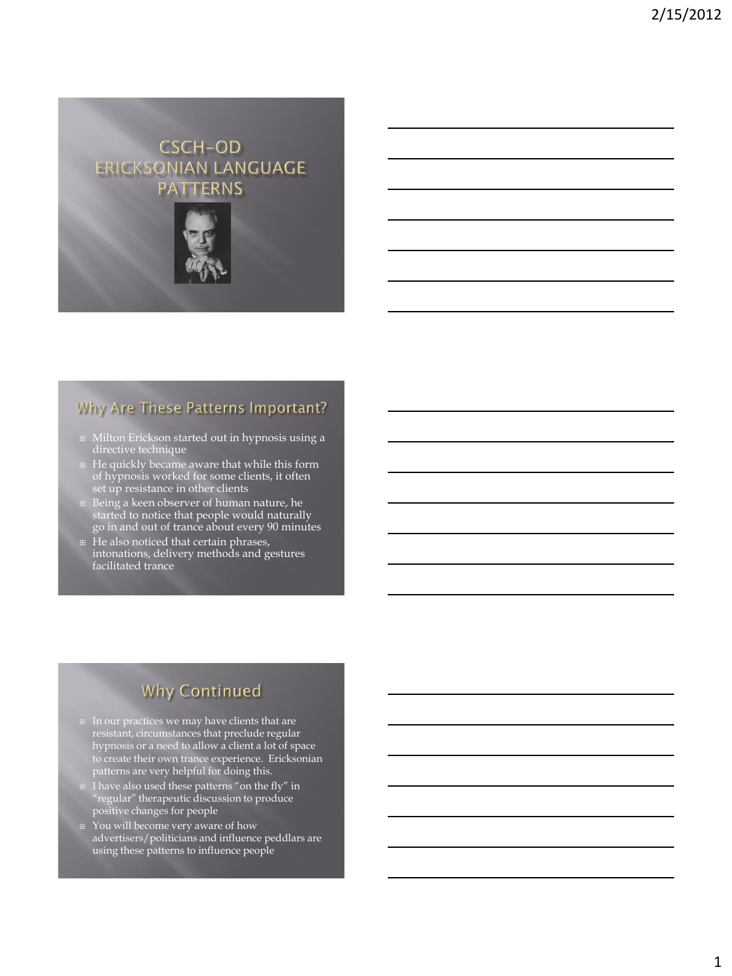## **CSCH-OD** ERICKSONIAN LANGUAGE **PATTERNS**



#### Why Are These Patterns Important?

- Milton Erickson started out in hypnosis using a directive technique
- He quickly became aware that while this form of hypnosis worked for some clients, it often set up resistance in other clients
- Being a keen observer of human nature, he started to notice that people would naturally go in and out of trance about every 90 minutes
- He also noticed that certain phrases, intonations, delivery methods and gestures facilitated trance

# **Why Continued**

- $\Box$  In our practices we may have clients that are resistant, circumstances that preclude regular hypnosis or a need to allow a client a lot of space to create their own trance experience. Ericksonian patterns are very helpful for doing this.
- I have also used these patterns "on the fly" in "regular" therapeutic discussion to produce positive changes for people
- You will become very aware of how advertisers/politicians and influence peddlars are using these patterns to influence people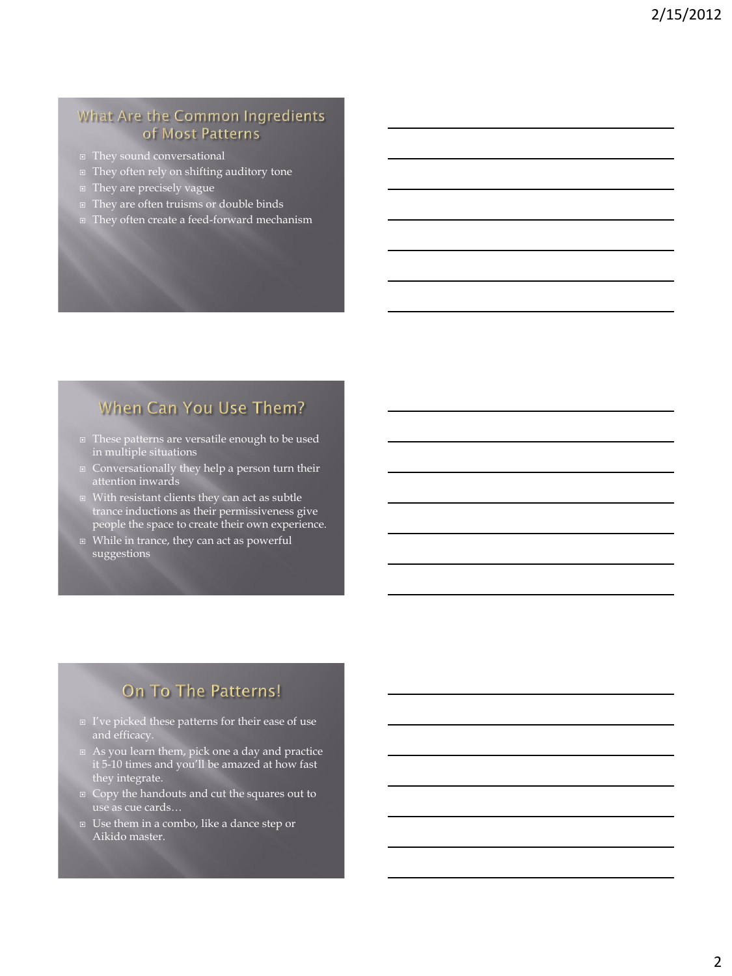#### What Are the Common Ingredients of Most Patterns

- They sound conversational
- They often rely on shifting auditory tone
- **They are precisely vague**
- They are often truisms or double binds
- They often create a feed-forward mechanism

## When Can You Use Them?

- These patterns are versatile enough to be used in multiple situations
- Conversationally they help a person turn their attention inwards
- With resistant clients they can act as subtle trance inductions as their permissiveness give people the space to create their own experience.
- **E** While in trance, they can act as powerful suggestions

## On To The Patterns!

- I've picked these patterns for their ease of use and efficacy.
- As you learn them, pick one a day and practice it 5-10 times and you'll be amazed at how fast they integrate.
- Copy the handouts and cut the squares out to use as cue cards…
- Use them in a combo, like a dance step or Aikido master.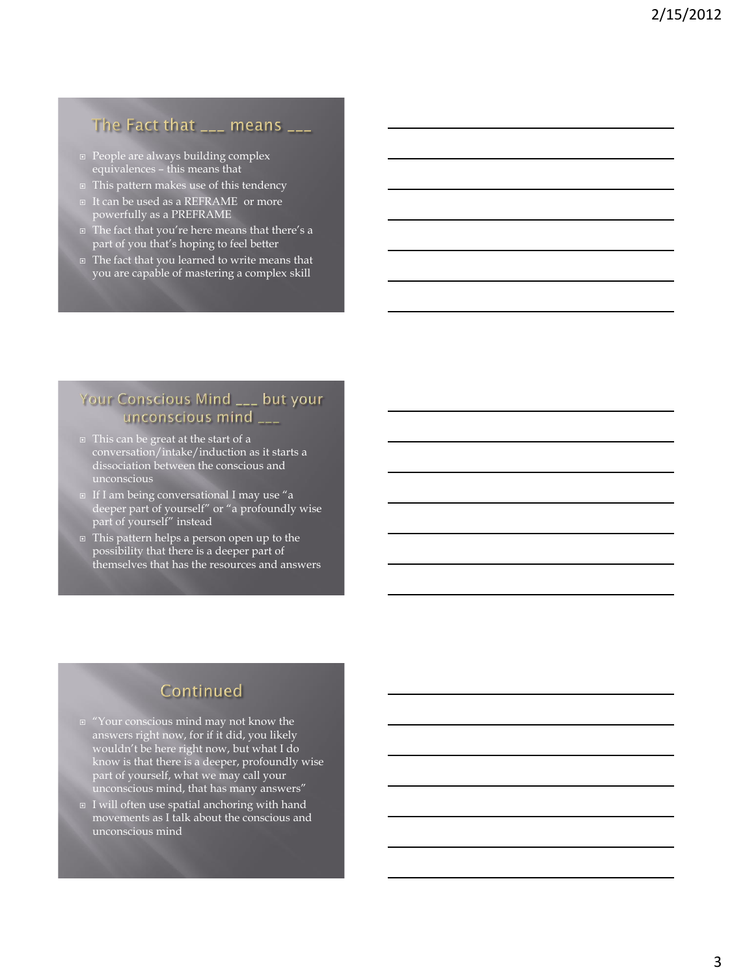#### The Fact that  $\frac{1}{2}$  means  $\frac{1}{2}$

- **People are always building complex** equivalences – this means that
- This pattern makes use of this tendency
- □ It can be used as a REFRAME or more powerfully as a PREFRAME
- The fact that you're here means that there's a part of you that's hoping to feel better
- The fact that you learned to write means that you are capable of mastering a complex skill

#### Your Conscious Mind \_\_\_ but your unconscious mind \_\_\_

- $\Box$  This can be great at the start of a conversation/intake/induction as it starts a dissociation between the conscious and unconscious
- If I am being conversational I may use "a deeper part of yourself" or "a profoundly wise part of yourself" instead
- This pattern helps a person open up to the possibility that there is a deeper part of themselves that has the resources and answers

# Continued

- $\texttt{``Your conscious mind may not know the}$ answers right now, for if it did, you likely wouldn't be here right now, but what I do know is that there is a deeper, profoundly wise part of yourself, what we may call your unconscious mind, that has many answers"
- $\overline{u}$  I will often use spatial anchoring with hand movements as I talk about the conscious and unconscious mind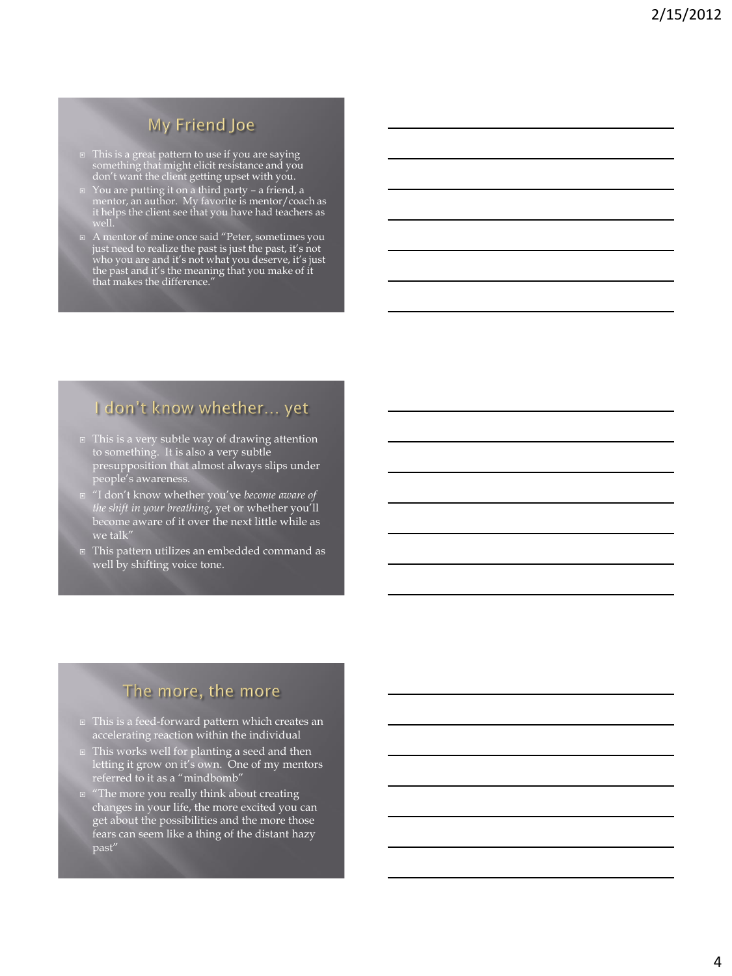# My Friend Joe

- □ This is a great pattern to use if you are saying something that might elicit resistance and you don't want the client getting upset with you.
- You are putting it on a third party a friend, a mentor, an author. My favorite is mentor/coach as it helps the client see that you have had teachers as well.
- A mentor of mine once said "Peter, sometimes you just need to realize the past is just the past, it's not who you are and it's not what you deserve, it's just the past and it's the meaning that you make of it that makes the difference."

# I don't know whether... yet

- This is a very subtle way of drawing attention to something. It is also a very subtle presupposition that almost always slips under people's awareness.
- "I don't know whether you've *become aware of the shift in your breathing*, yet or whether you'll become aware of it over the next little while as we talk"
- This pattern utilizes an embedded command as well by shifting voice tone.

## The more, the more

- This is a feed-forward pattern which creates an accelerating reaction within the individual
- This works well for planting a seed and then letting it grow on it's own. One of my mentors referred to it as a "mindbomb"
- "The more you really think about creating changes in your life, the more excited you can get about the possibilities and the more those fears can seem like a thing of the distant hazy past"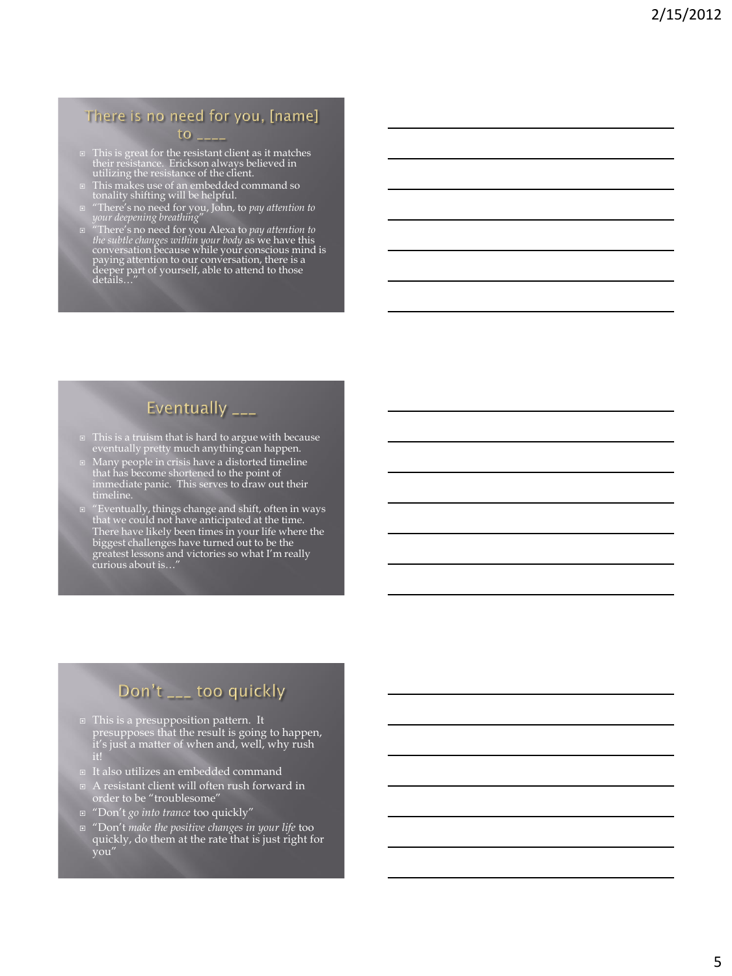## There is no need for you, [name]

#### $\overline{a}$

- This is great for the resistant client as it matches their resistance. Erickson always believed in utilizing the resistance of the client.
- This makes use of an embedded command so tonality shifting will be helpful.
- "There's no need for you, John, to *pay attention to your deepening breathing*"
- $\Box$  "There's no need for you Alexa to *pay attention to* the subtle changes within your body as we have this conversation because while your conscious mind is paying attention to our conversation, there is a deeper part

# Eventually \_\_\_

- □ This is a truism that is hard to argue with because eventually pretty much anything can happen.
- Many people in crisis have a distorted timeline that has become shortened to the point of immediate panic. This serves to draw out their timeline.
- "Eventually, things change and shift, often in ways that we could not have anticipated at the time. There have likely been times in your life where the biggest challenges have turned out to be the greatest lessons and victories so what I'm really curious about is…"

# Don't \_\_\_ too quickly

- This is a presupposition pattern. It presupposes that the result is going to happen, it's just a matter of when and, well, why rush
- It also utilizes an embedded command
- A resistant client will often rush forward in order to be "troublesome"
- "Don't *go into trance* too quickly"
- "Don't *make the positive changes in your life* too quickly, do them at the rate that is just right for you"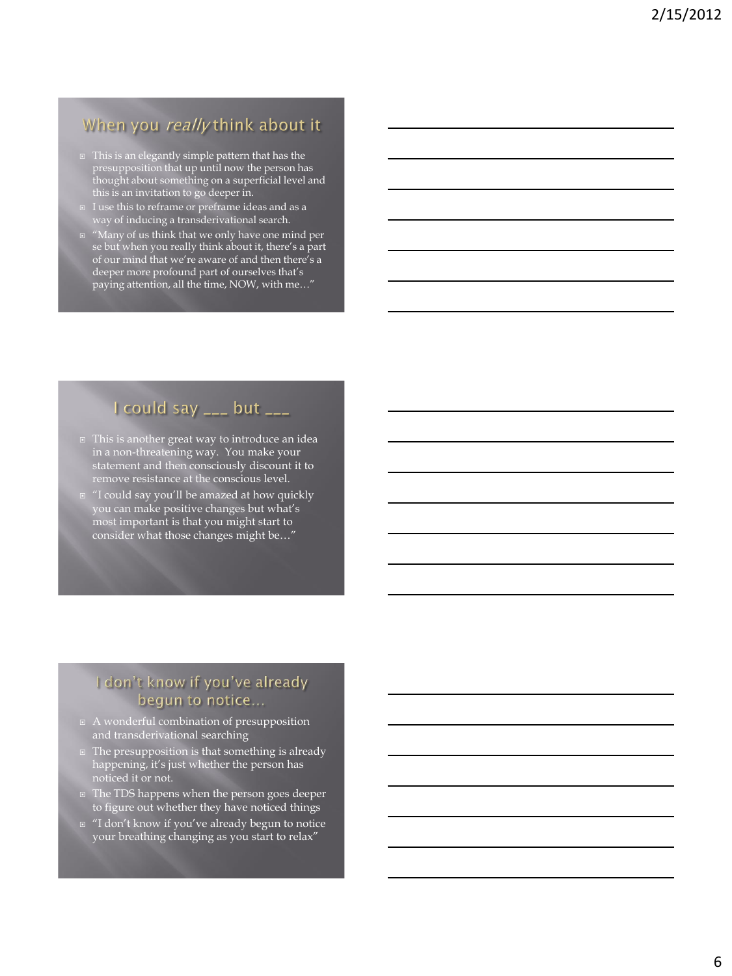## When you really think about it

- □ This is an elegantly simple pattern that has the presupposition that up until now the person has thought about something on a superficial level and this is an invitation to go deeper in.
- I use this to reframe or preframe ideas and as a way of inducing a transderivational search.
- "Many of us think that we only have one mind per se but when you really think about it, there's a part of our mind that we're aware of and then there's a deeper more profound part of ourselves that's paying attention, all the time, NOW, with me…"

# I could say \_\_\_ but \_\_\_

- This is another great way to introduce an idea in a non-threatening way. You make your statement and then consciously discount it to remove resistance at the conscious level.
- "I could say you'll be amazed at how quickly you can make positive changes but what's most important is that you might start to consider what those changes might be…"

#### I don't know if you've already begun to notice...

- $\boxed{a \text{ } A}$  wonderful combination of presupposition and transderivational searching
- **The presupposition is that something is already** happening, it's just whether the person has noticed it or not.
- The TDS happens when the person goes deeper to figure out whether they have noticed things
- "I don't know if you've already begun to notice your breathing changing as you start to relax"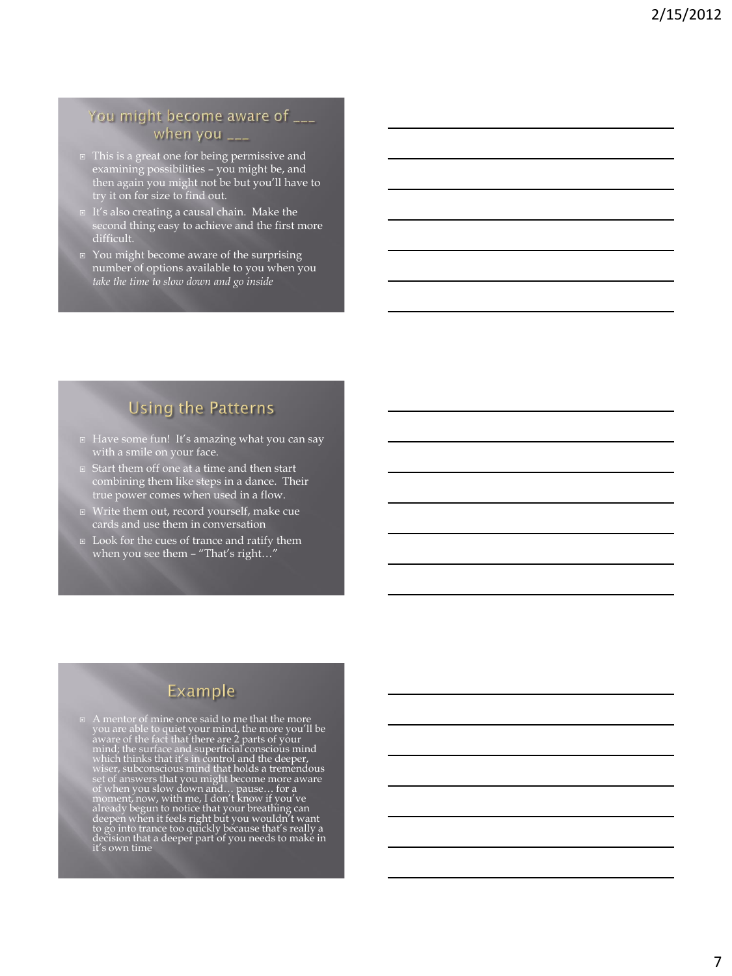#### You might become aware of \_\_\_ when you \_\_\_

- □ This is a great one for being permissive and examining possibilities – you might be, and then again you might not be but you'll have to try it on for size to find out.
- It's also creating a causal chain. Make the second thing easy to achieve and the first more difficult.
- You might become aware of the surprising number of options available to you when you *take the time to slow down and go inside*

## **Using the Patterns**

- Have some fun! It's amazing what you can say with a smile on your face.
- Start them off one at a time and then start combining them like steps in a dance. Their true power comes when used in a flow.
- $\Box$  Write them out, record yourself, make cue cards and use them in conversation
- Look for the cues of trance and ratify them when you see them – "That's right…"

## Example

 $\Box$  A mentor of mine once said to me that the more you are able to quiet your mind, the more you'll be aware of the fact that there are 2 parts of your mind; the surface and superficial conscious mind which thinks that i